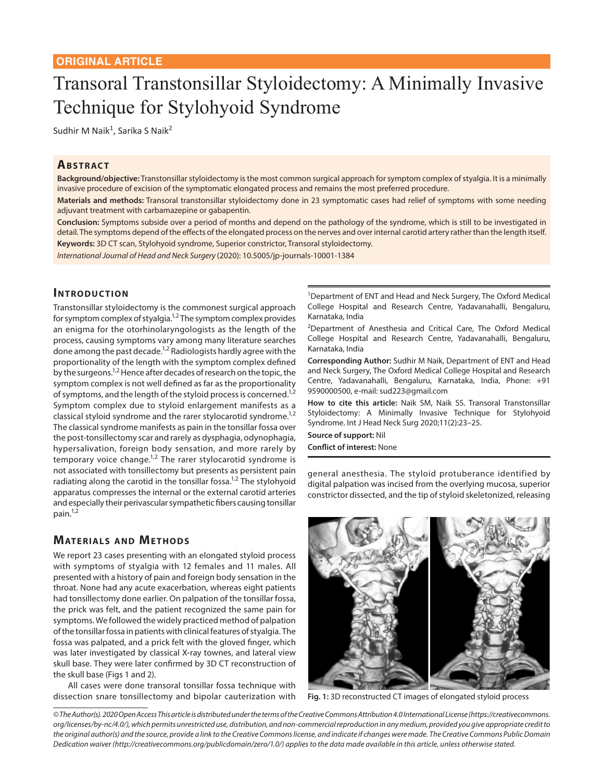# Transoral Transtonsillar Styloidectomy: A Minimally Invasive Technique for Stylohyoid Syndrome

Sudhir M Naik $^1$ , Sarika S Naik $^2$ 

### **ABSTRACT**

**Background/objective:** Transtonsillar styloidectomy is the most common surgical approach for symptom complex of styalgia. It is a minimally invasive procedure of excision of the symptomatic elongated process and remains the most preferred procedure.

**Materials and methods:** Transoral transtonsillar styloidectomy done in 23 symptomatic cases had relief of symptoms with some needing adjuvant treatment with carbamazepine or gabapentin.

**Conclusion:** Symptoms subside over a period of months and depend on the pathology of the syndrome, which is still to be investigated in detail. The symptoms depend of the effects of the elongated process on the nerves and over internal carotid artery rather than the length itself. **Keywords:** 3D CT scan, Stylohyoid syndrome, Superior constrictor, Transoral styloidectomy.

*International Journal of Head and Neck Surgery* (2020): 10.5005/jp-journals-10001-1384

#### **INTRODUCTION**

Transtonsillar styloidectomy is the commonest surgical approach for symptom complex of styalgia.<sup>1,2</sup> The symptom complex provides an enigma for the otorhinolaryngologists as the length of the process, causing symptoms vary among many literature searches done among the past decade.<sup>1,2</sup> Radiologists hardly agree with the proportionality of the length with the symptom complex defined by the surgeons.<sup>1,2</sup> Hence after decades of research on the topic, the symptom complex is not well defined as far as the proportionality of symptoms, and the length of the styloid process is concerned.<sup>1,2</sup> Symptom complex due to styloid enlargement manifests as a classical styloid syndrome and the rarer stylocarotid syndrome.<sup>1,2</sup> The classical syndrome manifests as pain in the tonsillar fossa over the post-tonsillectomy scar and rarely as dysphagia, odynophagia, hypersalivation, foreign body sensation, and more rarely by temporary voice change. $1,2$  The rarer stylocarotid syndrome is not associated with tonsillectomy but presents as persistent pain radiating along the carotid in the tonsillar fossa.<sup>1,2</sup> The stylohyoid apparatus compresses the internal or the external carotid arteries and especially their perivascular sympathetic fibers causing tonsillar pain. $1,2$ 

#### **MATERIALS AND METHODS**

We report 23 cases presenting with an elongated styloid process with symptoms of styalgia with 12 females and 11 males. All presented with a history of pain and foreign body sensation in the throat. None had any acute exacerbation, whereas eight patients had tonsillectomy done earlier. On palpation of the tonsillar fossa, the prick was felt, and the patient recognized the same pain for symptoms. We followed the widely practiced method of palpation of the tonsillar fossa in patients with clinical features of styalgia. The fossa was palpated, and a prick felt with the gloved finger, which was later investigated by classical X-ray townes, and lateral view skull base. They were later confirmed by 3D CT reconstruction of the skull base (Figs 1 and 2).

All cases were done transoral tonsillar fossa technique with dissection snare tonsillectomy and bipolar cauterization with <sup>1</sup>Department of ENT and Head and Neck Surgery, The Oxford Medical College Hospital and Research Centre, Yadavanahalli, Bengaluru, Karnataka, India

<sup>2</sup>Department of Anesthesia and Critical Care, The Oxford Medical College Hospital and Research Centre, Yadavanahalli, Bengaluru, Karnataka, India

**Corresponding Author:** Sudhir M Naik, Department of ENT and Head and Neck Surgery, The Oxford Medical College Hospital and Research Centre, Yadavanahalli, Bengaluru, Karnataka, India, Phone: +91 9590000500, e-mail: sud223@gmail.com

**How to cite this article:** Naik SM, Naik SS. Transoral Transtonsillar Styloidectomy: A Minimally Invasive Technique for Stylohyoid Syndrome. Int J Head Neck Surg 2020;11(2):23–25.

**Source of support:** Nil **Conflict of interest:** None

general anesthesia. The styloid protuberance identified by digital palpation was incised from the overlying mucosa, superior constrictor dissected, and the tip of styloid skeletonized, releasing



**Fig. 1:** 3D reconstructed CT images of elongated styloid process

*© The Author(s). 2020 Open Access This article is distributed under the terms of the Creative Commons Attribution 4.0 International License (https://creativecommons. org/licenses/by-nc/4.0/), which permits unrestricted use, distribution, and non-commercial reproduction in any medium, provided you give appropriate credit to the original author(s) and the source, provide a link to the Creative Commons license, and indicate if changes were made. The Creative Commons Public Domain Dedication waiver (http://creativecommons.org/publicdomain/zero/1.0/) applies to the data made available in this article, unless otherwise stated.*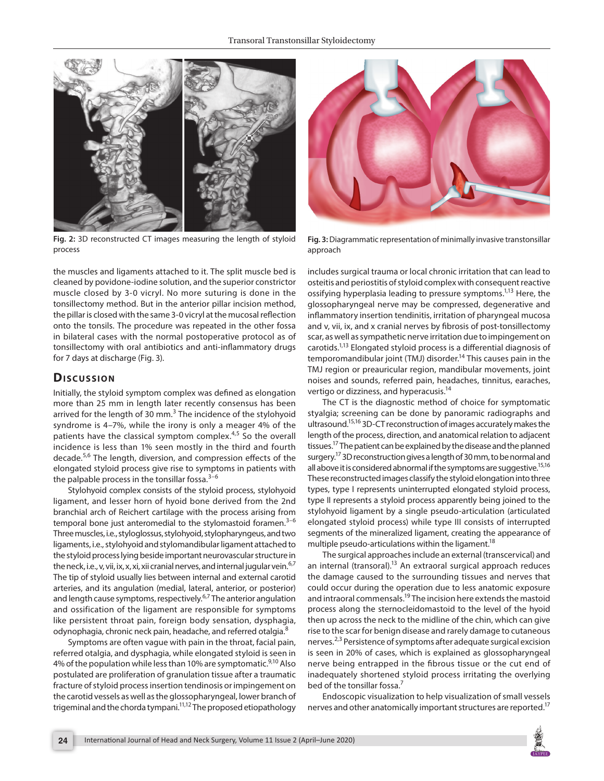

**Fig. 2:** 3D reconstructed CT images measuring the length of styloid process

the muscles and ligaments attached to it. The split muscle bed is cleaned by povidone-iodine solution, and the superior constrictor muscle closed by 3-0 vicryl. No more suturing is done in the tonsillectomy method. But in the anterior pillar incision method, the pillar is closed with the same 3-0 vicryl at the mucosal reflection onto the tonsils. The procedure was repeated in the other fossa in bilateral cases with the normal postoperative protocol as of tonsillectomy with oral antibiotics and anti-inflammatory drugs for 7 days at discharge (Fig. 3).

#### **Dis c u s sio n**

Initially, the styloid symptom complex was defined as elongation more than 25 mm in length later recently consensus has been arrived for the length of 30 mm.<sup>3</sup> The incidence of the stylohyoid syndrome is 4–7%, while the irony is only a meager 4% of the patients have the classical symptom complex.<sup>4,5</sup> So the overall incidence is less than 1% seen mostly in the third and fourth decade.5,6 The length, diversion, and compression effects of the elongated styloid process give rise to symptoms in patients with the palpable process in the tonsillar fossa. $3-6$ 

Stylohyoid complex consists of the styloid process, stylohyoid ligament, and lesser horn of hyoid bone derived from the 2nd branchial arch of Reichert cartilage with the process arising from temporal bone just anteromedial to the stylomastoid foramen. $3-6$ Three muscles, i.e., styloglossus, stylohyoid, stylopharyngeus, and two ligaments, i.e., stylohyoid and stylomandibular ligament attached to the styloid process lying beside important neurovascular structure in the neck, i.e., v, vii, ix, x, xi, xii cranial nerves, and internal jugular vein.<sup>6,7</sup> The tip of styloid usually lies between internal and external carotid arteries, and its angulation (medial, lateral, anterior, or posterior) and length cause symptoms, respectively.<sup>6,7</sup> The anterior angulation and ossification of the ligament are responsible for symptoms like persistent throat pain, foreign body sensation, dysphagia, odynophagia, chronic neck pain, headache, and referred otalgia.<sup>8</sup>

Symptoms are often vague with pain in the throat, facial pain, referred otalgia, and dysphagia, while elongated styloid is seen in 4% of the population while less than 10% are symptomatic. $9,10$  Also postulated are proliferation of granulation tissue after a traumatic fracture of styloid process insertion tendinosis or impingement on the carotid vessels as well as the glossopharyngeal, lower branch of trigeminal and the chorda tympani.<sup>11,12</sup> The proposed etiopathology



**Fig. 3:** Diagrammatic representation of minimally invasive transtonsillar approach

includes surgical trauma or local chronic irritation that can lead to osteitis and periostitis of styloid complex with consequent reactive ossifying hyperplasia leading to pressure symptoms.<sup>1,13</sup> Here, the glossopharyngeal nerve may be compressed, degenerative and inflammatory insertion tendinitis, irritation of pharyngeal mucosa and v, vii, ix, and x cranial nerves by fibrosis of post-tonsillectomy scar, as well as sympathetic nerve irritation due to impingement on carotids.1,13 Elongated styloid process is a differential diagnosis of temporomandibular joint (TMJ) disorder.<sup>14</sup> This causes pain in the TMJ region or preauricular region, mandibular movements, joint noises and sounds, referred pain, headaches, tinnitus, earaches, vertigo or dizziness, and hyperacusis.14

The CT is the diagnostic method of choice for symptomatic styalgia; screening can be done by panoramic radiographs and ultrasound.15,16 3D-CT reconstruction of images accurately makes the length of the process, direction, and anatomical relation to adjacent tissues.<sup>17</sup> The patient can be explained by the disease and the planned surgery.<sup>17</sup> 3D reconstruction gives a length of 30 mm, to be normal and all above it is considered abnormal if the symptoms are suggestive.<sup>15,16</sup> These reconstructed images classify the styloid elongation into three types, type I represents uninterrupted elongated styloid process, type II represents a styloid process apparently being joined to the stylohyoid ligament by a single pseudo-articulation (articulated elongated styloid process) while type III consists of interrupted segments of the mineralized ligament, creating the appearance of multiple pseudo-articulations within the ligament.<sup>18</sup>

The surgical approaches include an external (transcervical) and an internal (transoral).<sup>13</sup> An extraoral surgical approach reduces the damage caused to the surrounding tissues and nerves that could occur during the operation due to less anatomic exposure and intraoral commensals.19 The incision here extends the mastoid process along the sternocleidomastoid to the level of the hyoid then up across the neck to the midline of the chin, which can give rise to the scar for benign disease and rarely damage to cutaneous nerves.<sup>2,3</sup> Persistence of symptoms after adequate surgical excision is seen in 20% of cases, which is explained as glossopharyngeal nerve being entrapped in the fibrous tissue or the cut end of inadequately shortened styloid process irritating the overlying bed of the tonsillar fossa.<sup>7</sup>

Endoscopic visualization to help visualization of small vessels nerves and other anatomically important structures are reported.<sup>17</sup>